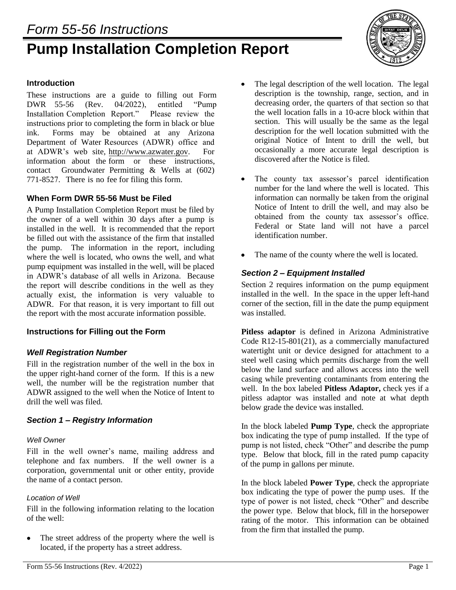# *Form 55-56 Instructions* **Pump Installation Completion Report**



#### **Introduction**

These instructions are a guide to filling out Form DWR 55-56 (Rev. 04/2022), entitled "Pump Installation Completion Report." Please review the instructions prior to completing the form in black or blue ink. Forms may be obtained at any Arizona Department of Water Resources (ADWR) office and at ADWR's web site, http://www.azwater.gov. For information about the form or these instructions, contact Groundwater Permitting & Wells at (602) 771-8527. There is no fee for filing this form.

### **When Form DWR 55-56 Must be Filed**

A Pump Installation Completion Report must be filed by the owner of a well within 30 days after a pump is installed in the well. It is recommended that the report be filled out with the assistance of the firm that installed the pump. The information in the report, including where the well is located, who owns the well, and what pump equipment was installed in the well, will be placed in ADWR's database of all wells in Arizona. Because the report will describe conditions in the well as they actually exist, the information is very valuable to ADWR. For that reason, it is very important to fill out the report with the most accurate information possible.

## **Instructions for Filling out the Form**

## *Well Registration Number*

Fill in the registration number of the well in the box in the upper right-hand corner of the form. If this is a new well, the number will be the registration number that ADWR assigned to the well when the Notice of Intent to drill the well was filed.

## *Section 1 – Registry Information*

#### *Well Owner*

Fill in the well owner's name, mailing address and telephone and fax numbers. If the well owner is a corporation, governmental unit or other entity, provide the name of a contact person.

#### *Location of Well*

Fill in the following information relating to the location of the well:

The street address of the property where the well is  $\bullet$ located, if the property has a street address.

- $\bullet$ The legal description of the well location. The legal description is the township, range, section, and in decreasing order, the quarters of that section so that the well location falls in a 10-acre block within that section. This will usually be the same as the legal description for the well location submitted with the original Notice of Intent to drill the well, but occasionally a more accurate legal description is discovered after the Notice is filed.
- $\bullet$ The county tax assessor's parcel identification number for the land where the well is located. This information can normally be taken from the original Notice of Intent to drill the well, and may also be obtained from the county tax assessor's office. Federal or State land will not have a parcel identification number.
- $\bullet$ The name of the county where the well is located.

## *Section 2 – Equipment Installed*

Section 2 requires information on the pump equipment installed in the well. In the space in the upper left-hand corner of the section, fill in the date the pump equipment was installed.

**Pitless adaptor** is defined in Arizona Administrative Code R12-15-801(21), as a commercially manufactured watertight unit or device designed for attachment to a steel well casing which permits discharge from the well below the land surface and allows access into the well casing while preventing contaminants from entering the well. In the box labeled **Pitless Adaptor,** check yes if a pitless adaptor was installed and note at what depth below grade the device was installed.

In the block labeled **Pump Type**, check the appropriate box indicating the type of pump installed. If the type of pump is not listed, check "Other" and describe the pump type. Below that block, fill in the rated pump capacity of the pump in gallons per minute.

In the block labeled **Power Type**, check the appropriate box indicating the type of power the pump uses. If the type of power is not listed, check "Other" and describe the power type. Below that block, fill in the horsepower rating of the motor. This information can be obtained from the firm that installed the pump.